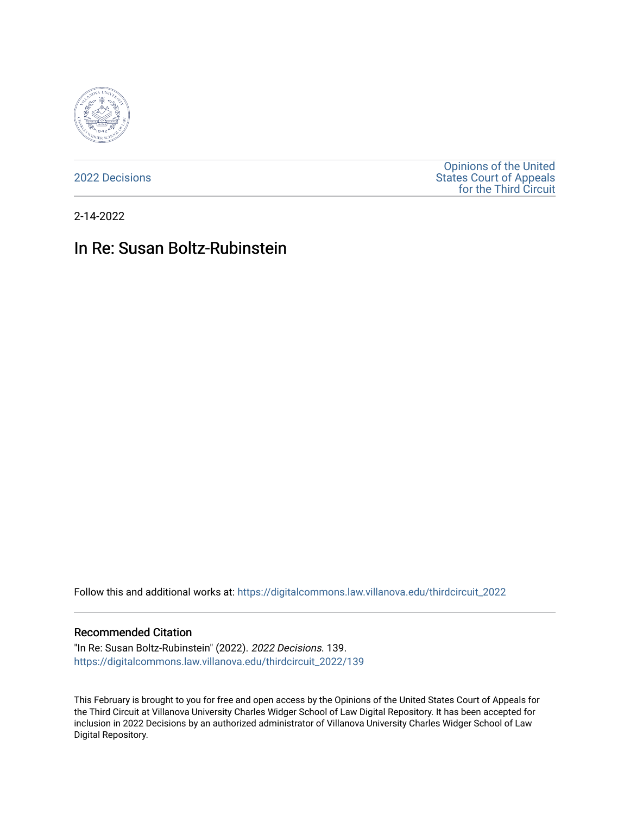

[2022 Decisions](https://digitalcommons.law.villanova.edu/thirdcircuit_2022)

[Opinions of the United](https://digitalcommons.law.villanova.edu/thirdcircuit)  [States Court of Appeals](https://digitalcommons.law.villanova.edu/thirdcircuit)  [for the Third Circuit](https://digitalcommons.law.villanova.edu/thirdcircuit) 

2-14-2022

# In Re: Susan Boltz-Rubinstein

Follow this and additional works at: [https://digitalcommons.law.villanova.edu/thirdcircuit\\_2022](https://digitalcommons.law.villanova.edu/thirdcircuit_2022?utm_source=digitalcommons.law.villanova.edu%2Fthirdcircuit_2022%2F139&utm_medium=PDF&utm_campaign=PDFCoverPages) 

#### Recommended Citation

"In Re: Susan Boltz-Rubinstein" (2022). 2022 Decisions. 139. [https://digitalcommons.law.villanova.edu/thirdcircuit\\_2022/139](https://digitalcommons.law.villanova.edu/thirdcircuit_2022/139?utm_source=digitalcommons.law.villanova.edu%2Fthirdcircuit_2022%2F139&utm_medium=PDF&utm_campaign=PDFCoverPages)

This February is brought to you for free and open access by the Opinions of the United States Court of Appeals for the Third Circuit at Villanova University Charles Widger School of Law Digital Repository. It has been accepted for inclusion in 2022 Decisions by an authorized administrator of Villanova University Charles Widger School of Law Digital Repository.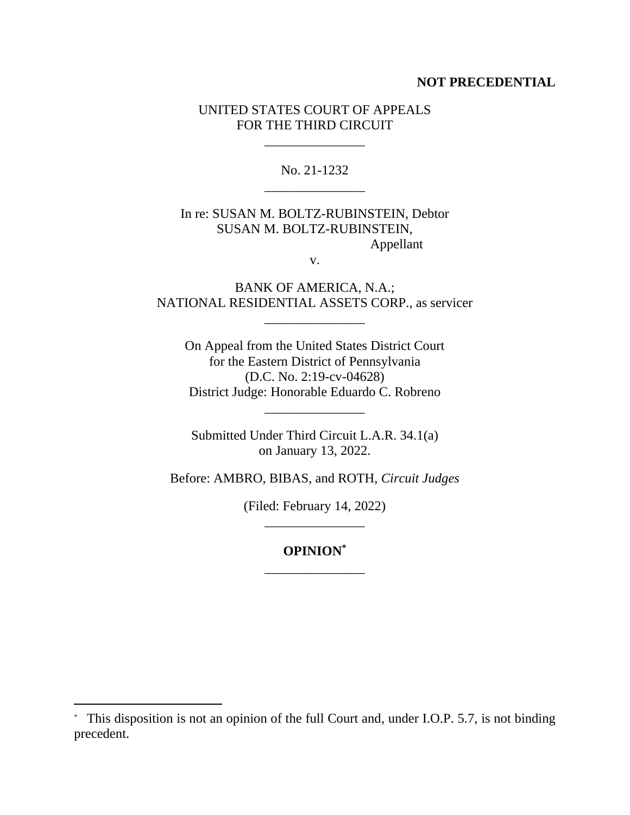#### **NOT PRECEDENTIAL**

## UNITED STATES COURT OF APPEALS FOR THE THIRD CIRCUIT

\_\_\_\_\_\_\_\_\_\_\_\_\_\_\_

No. 21-1232 \_\_\_\_\_\_\_\_\_\_\_\_\_\_\_

## In re: SUSAN M. BOLTZ-RUBINSTEIN, Debtor SUSAN M. BOLTZ-RUBINSTEIN, Appellant

v.

BANK OF AMERICA, N.A.; NATIONAL RESIDENTIAL ASSETS CORP., as servicer

\_\_\_\_\_\_\_\_\_\_\_\_\_\_\_

On Appeal from the United States District Court for the Eastern District of Pennsylvania (D.C. No. 2:19-cv-04628) District Judge: Honorable Eduardo C. Robreno

Submitted Under Third Circuit L.A.R. 34.1(a) on January 13, 2022.

\_\_\_\_\_\_\_\_\_\_\_\_\_\_\_

Before: AMBRO, BIBAS, and ROTH, *Circuit Judges*

(Filed: February 14, 2022) \_\_\_\_\_\_\_\_\_\_\_\_\_\_\_

## **OPINION\*** \_\_\_\_\_\_\_\_\_\_\_\_\_\_\_

<sup>\*</sup> This disposition is not an opinion of the full Court and, under I.O.P. 5.7, is not binding precedent.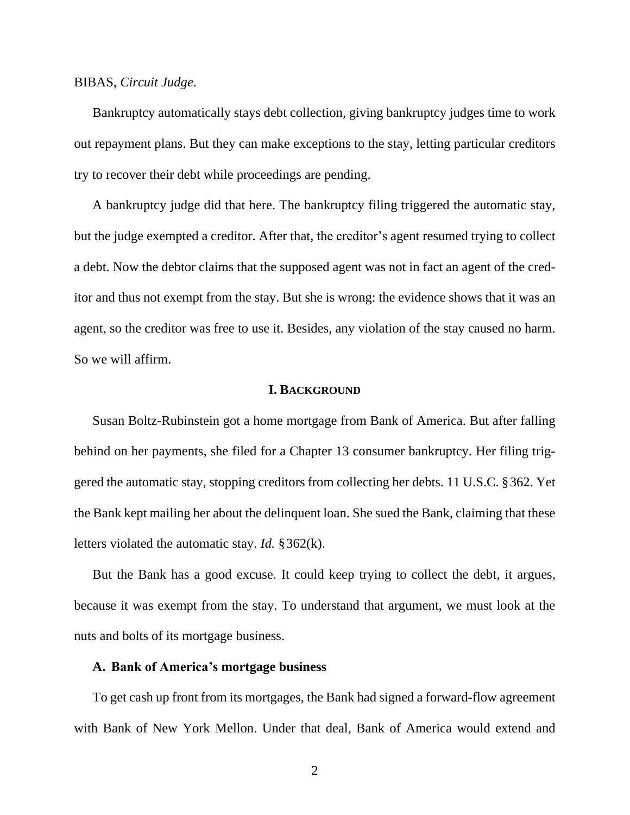#### BIBAS, *Circuit Judge*.

Bankruptcy automatically stays debt collection, giving bankruptcy judges time to work out repayment plans. But they can make exceptions to the stay, letting particular creditors try to recover their debt while proceedings are pending.

A bankruptcy judge did that here. The bankruptcy filing triggered the automatic stay, but the judge exempted a creditor. After that, the creditor's agent resumed trying to collect a debt. Now the debtor claims that the supposed agent was not in fact an agent of the creditor and thus not exempt from the stay. But she is wrong: the evidence shows that it was an agent, so the creditor was free to use it. Besides, any violation of the stay caused no harm. So we will affirm.

#### **I. BACKGROUND**

Susan Boltz-Rubinstein got a home mortgage from Bank of America. But after falling behind on her payments, she filed for a Chapter 13 consumer bankruptcy. Her filing triggered the automatic stay, stopping creditors from collecting her debts. 11 U.S.C. §362. Yet the Bank kept mailing her about the delinquent loan. She sued the Bank, claiming that these letters violated the automatic stay. *Id.* §362(k).

But the Bank has a good excuse. It could keep trying to collect the debt, it argues, because it was exempt from the stay. To understand that argument, we must look at the nuts and bolts of its mortgage business.

#### **A. Bank of America's mortgage business**

To get cash up front from its mortgages, the Bank had signed a forward-flow agreement with Bank of New York Mellon. Under that deal, Bank of America would extend and

2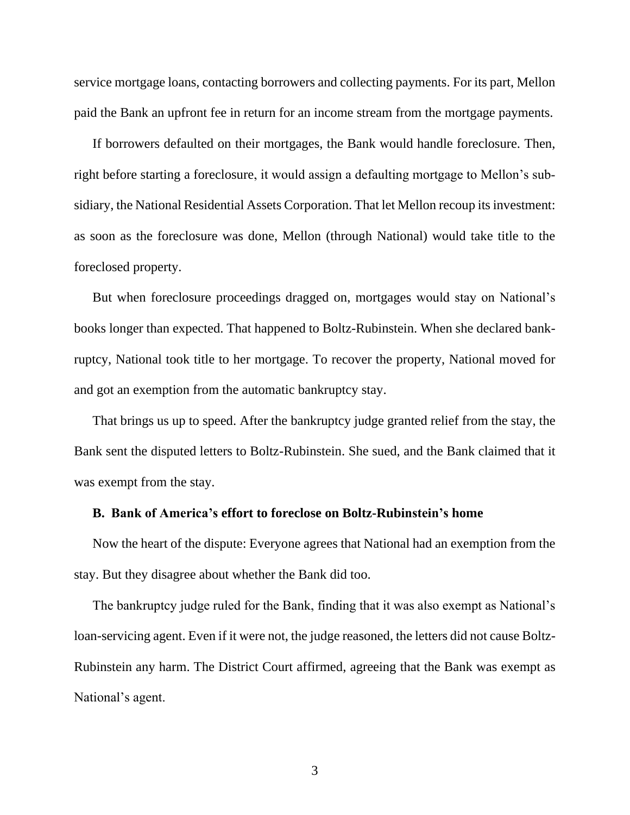service mortgage loans, contacting borrowers and collecting payments. For its part, Mellon paid the Bank an upfront fee in return for an income stream from the mortgage payments.

If borrowers defaulted on their mortgages, the Bank would handle foreclosure. Then, right before starting a foreclosure, it would assign a defaulting mortgage to Mellon's subsidiary, the National Residential Assets Corporation. That let Mellon recoup its investment: as soon as the foreclosure was done, Mellon (through National) would take title to the foreclosed property.

But when foreclosure proceedings dragged on, mortgages would stay on National's books longer than expected. That happened to Boltz-Rubinstein. When she declared bankruptcy, National took title to her mortgage. To recover the property, National moved for and got an exemption from the automatic bankruptcy stay.

That brings us up to speed. After the bankruptcy judge granted relief from the stay, the Bank sent the disputed letters to Boltz-Rubinstein. She sued, and the Bank claimed that it was exempt from the stay.

#### **B. Bank of America's effort to foreclose on Boltz-Rubinstein's home**

Now the heart of the dispute: Everyone agrees that National had an exemption from the stay. But they disagree about whether the Bank did too.

The bankruptcy judge ruled for the Bank, finding that it was also exempt as National's loan-servicing agent. Even if it were not, the judge reasoned, the letters did not cause Boltz-Rubinstein any harm. The District Court affirmed, agreeing that the Bank was exempt as National's agent.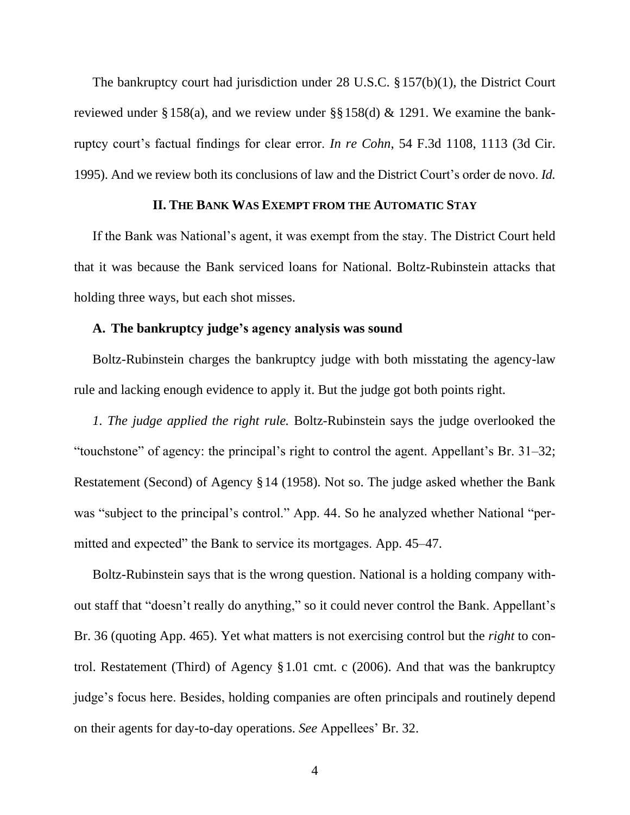The bankruptcy court had jurisdiction under 28 U.S.C. §157(b)(1), the District Court reviewed under §158(a), and we review under §§158(d) & 1291. We examine the bankruptcy court's factual findings for clear error. *In re Cohn*, 54 F.3d 1108, 1113 (3d Cir. 1995). And we review both its conclusions of law and the District Court's order de novo. *Id.*

## **II. THE BANK WAS EXEMPT FROM THE AUTOMATIC STAY**

If the Bank was National's agent, it was exempt from the stay. The District Court held that it was because the Bank serviced loans for National. Boltz-Rubinstein attacks that holding three ways, but each shot misses.

#### **A. The bankruptcy judge's agency analysis was sound**

Boltz-Rubinstein charges the bankruptcy judge with both misstating the agency-law rule and lacking enough evidence to apply it. But the judge got both points right.

*1. The judge applied the right rule.* Boltz-Rubinstein says the judge overlooked the "touchstone" of agency: the principal's right to control the agent. Appellant's Br. 31–32; Restatement (Second) of Agency §14 (1958). Not so. The judge asked whether the Bank was "subject to the principal's control." App. 44. So he analyzed whether National "permitted and expected" the Bank to service its mortgages. App. 45–47.

Boltz-Rubinstein says that is the wrong question. National is a holding company without staff that "doesn't really do anything," so it could never control the Bank. Appellant's Br. 36 (quoting App. 465). Yet what matters is not exercising control but the *right* to control. Restatement (Third) of Agency §1.01 cmt. c (2006). And that was the bankruptcy judge's focus here. Besides, holding companies are often principals and routinely depend on their agents for day-to-day operations. *See* Appellees' Br. 32.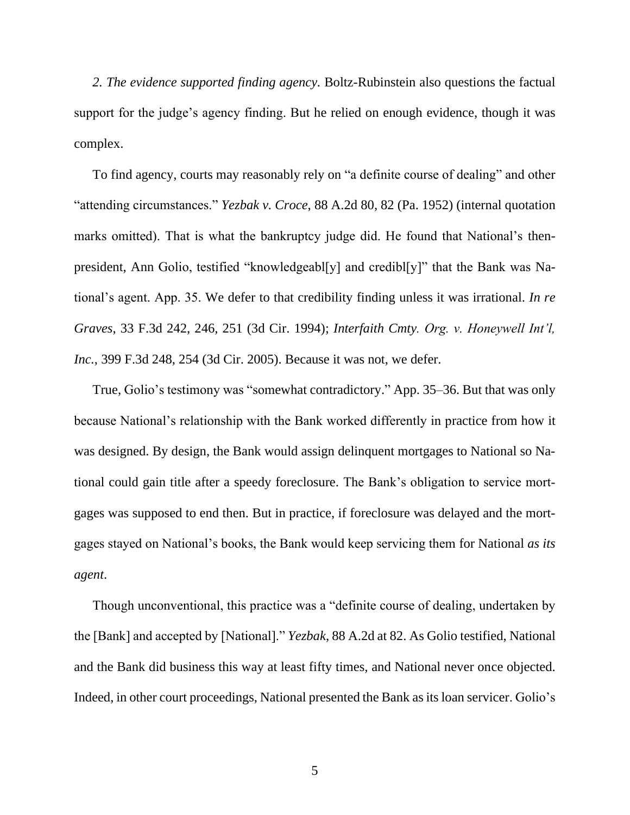*2. The evidence supported finding agency.* Boltz-Rubinstein also questions the factual support for the judge's agency finding. But he relied on enough evidence, though it was complex.

To find agency, courts may reasonably rely on "a definite course of dealing" and other "attending circumstances." *Yezbak v. Croce*, 88 A.2d 80, 82 (Pa. 1952) (internal quotation marks omitted). That is what the bankruptcy judge did. He found that National's thenpresident, Ann Golio, testified "knowledgeabl[y] and credibl[y]" that the Bank was National's agent. App. 35. We defer to that credibility finding unless it was irrational. *In re Graves*, 33 F.3d 242, 246, 251 (3d Cir. 1994); *Interfaith Cmty. Org. v. Honeywell Int'l, Inc.*, 399 F.3d 248, 254 (3d Cir. 2005). Because it was not, we defer.

True, Golio's testimony was "somewhat contradictory." App. 35–36. But that was only because National's relationship with the Bank worked differently in practice from how it was designed. By design, the Bank would assign delinquent mortgages to National so National could gain title after a speedy foreclosure. The Bank's obligation to service mortgages was supposed to end then. But in practice, if foreclosure was delayed and the mortgages stayed on National's books, the Bank would keep servicing them for National *as its agent*.

Though unconventional, this practice was a "definite course of dealing, undertaken by the [Bank] and accepted by [National]." *Yezbak*, 88 A.2d at 82. As Golio testified, National and the Bank did business this way at least fifty times, and National never once objected. Indeed, in other court proceedings, National presented the Bank as its loan servicer. Golio's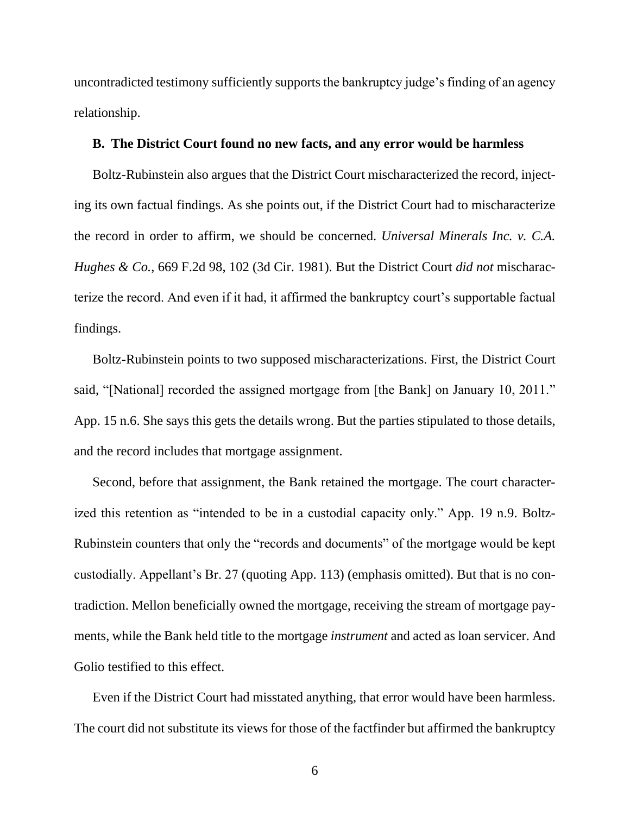uncontradicted testimony sufficiently supports the bankruptcy judge's finding of an agency relationship.

## **B. The District Court found no new facts, and any error would be harmless**

Boltz-Rubinstein also argues that the District Court mischaracterized the record, injecting its own factual findings. As she points out, if the District Court had to mischaracterize the record in order to affirm, we should be concerned. *Universal Minerals Inc. v. C.A. Hughes & Co.*, 669 F.2d 98, 102 (3d Cir. 1981). But the District Court *did not* mischaracterize the record. And even if it had, it affirmed the bankruptcy court's supportable factual findings.

Boltz-Rubinstein points to two supposed mischaracterizations. First, the District Court said, "[National] recorded the assigned mortgage from [the Bank] on January 10, 2011." App. 15 n.6. She says this gets the details wrong. But the parties stipulated to those details, and the record includes that mortgage assignment.

Second, before that assignment, the Bank retained the mortgage. The court characterized this retention as "intended to be in a custodial capacity only." App. 19 n.9. Boltz-Rubinstein counters that only the "records and documents" of the mortgage would be kept custodially. Appellant's Br. 27 (quoting App. 113) (emphasis omitted). But that is no contradiction. Mellon beneficially owned the mortgage, receiving the stream of mortgage payments, while the Bank held title to the mortgage *instrument* and acted as loan servicer. And Golio testified to this effect.

Even if the District Court had misstated anything, that error would have been harmless. The court did not substitute its views for those of the factfinder but affirmed the bankruptcy